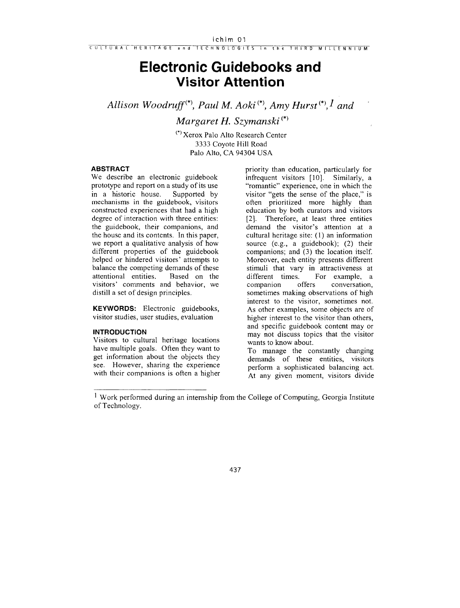CULTURAL HERITAGE **and** TECHNmmGjTS in **thc** THIRD MILLENNIUM

## **Electronic Guidebooks and Visitor Attention**

*Allison Woodruff<sup>(\*)</sup>, Paul M. Aoki<sup>(\*)</sup>, <i>Amy Hurst*<sup>(\*)</sup>, *I and* 

*Margaret H. Szymanski* '\*'

("Xerox Palo Alto Research Center 3333 Coyote Hill Road Palo Alto, CA 94304 USA

### **ABSTRACT**

We describe an electronic guidebook prototype and report on a study of its use in a historic house. Supported by mechanisms in the guidebook, visitors constructed experiences that had a high degree of interaction with three entities: the guidebook, their companions, and the house and its contents. In this paper, we report a qualitative analysis of how different properties of the guidebook helped or hindered visitors' attempts to balance the competing demands of these<br>attentional entities. Based on the attentional entities. visitors' comments and behavior, we distill a set of design principles.

**KEYWORDS:** Electronic guidebooks, visitor studies, user studies, evaluation

Visitors to cultural heritage locations wants to know about.<br>have multiple goals. Often they want to  $T_0$  manage the co get information about the objects they demands of these entities, visitors see. However, sharing the experience perform a sophisticated balancing act.

priority than education, particularly for infrequent visitors [10]. Similarly, a "romantic" experience, one in which the visitor "gets the sense of the place," is often prioritized more highly than education by both curators and visitors [2]. Therefore, at least three entities demand the visitor's attention at a cultural heritage site: (1) an information source (e.g., a guidebook); (2) their companions; and (3) the location itself. Moreover, each entity presents different stimuli that vary in attractiveness at different times. For example, a different times. For example, a<br>companion offers conversation. conversation, sometimes making observations of high interest to the visitor, sometimes not. As other examples, some objects are of higher interest to the visitor than others, and specific guidebook content may or **INTRODUCTION may** not discuss topics that the visitor

To manage the constantly changing with their companions is often a higher At any given moment, visitors divide

Work performed during an internship from the College of Computing, Georgia Institute of Technology.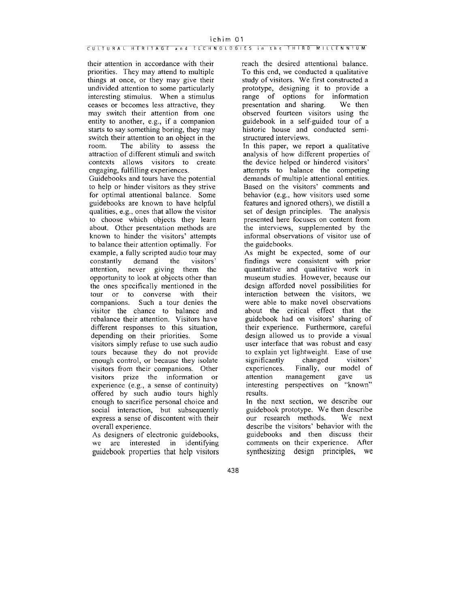their attention in accordance with their priorities. They may attend to multiple things at once, or they may give their undivided attention to some particularly interesting stimulus. When a stimulus ceases or becomes less attractive, they may switch their attention from one entity to another, e.g., if a companion starts to say something boring, they may switch their attention to an object in the room. The ability to assess the The ability to assess the attraction of different stimuli and switch contexts allows visitors to create engaging, fulfilling experiences.

Guidebooks and tours have the potential to help or hinder visitors as they strive for optimal attentional balance. Some guidebooks are known to have helpful qualities, e.g., ones that allow the visitor to choose which objects they learn about. Other presentation methods are known to hinder the visitors' attempts to balance their attention optimally. For example, a fully scripted audio tour may<br>constantly demand the visitors' constantly demand the attention, never giving them the opportunity to look at objects other than the ones specifically mentioned in the tour or to converse with their companions. Such a tour denies the visitor the chance to balance and rebalance their attention. Visitors have different responses to this situation, depending on their priorities. Some visitors simply refuse to use such audio tours because they do not provide enough control, or because they isolate visitors from their companions. Other visitors prize the information or experience (e.g., a sense of continuity) offered by such audio tours highly enough to sacrifice personal choice and social interaction, but subsequently express a sense of discontent with their overall experience.

As designers of electronic guidebooks, we are interested in identifying guidebook properties that help visitors reach the desired attentional balance. To this end, we conducted a qualitative study of visitors. We first constructed a prototype, designing it to provide a range of options for information<br>nesentation and sharing. We then presentation and sharing. observed fourteen visitors using the guidebook in a self-guided tour of a historic house and conducted semistructured interviews.

In this paper, we report a qualitative analysis of how different properties of the device helped or hindered visitors' attempts to balance the competing demands of multiple attentional entities. Based on the visitors' comments and behavior (e.g., how visitors used some features and ignored others), we distill a set of design principles. The analysis presented here focuses on content from the interviews, supplemented by the informal observations of visitor use of the guidebooks.

As might be expected, some of our findings were consistent with prior quantitative and qualitative work in museum studies. However, because our design afforded novel possibilities for interaction between the visitors, we were able to make novel observations about the critical effect that the guidebook had on visitors' sharing of their experience. Furthermore, careful design allowed us to provide a visual user interface that was robust and easy to explain yet lightweight. Ease of use<br>significantly changed visitors' significantly changed visitors'<br>experiences. Finally, our model of Finally, our model of attention management gave us interesting perspectives on "known" results.

In the next section, we describe our guidebook prototype. We then describe our research methods. We next describe the visitors' behavior with the guidebooks and then discuss their comments on their experience. After synthesizing design principles, we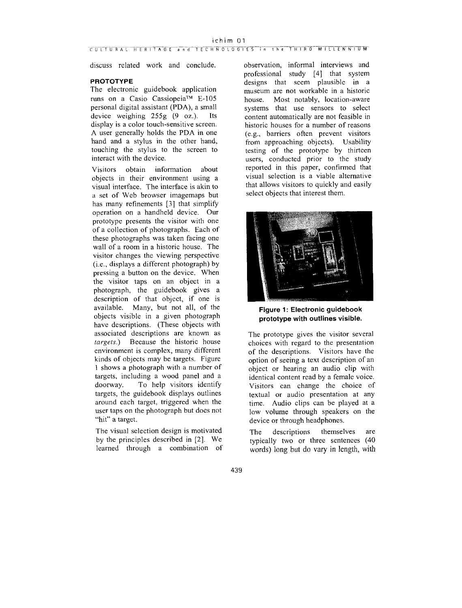discuss related work and conclude.

### **PROTOTYPE**

The electronic guidebook application runs on a Casio CassiopeiaTM E-105 personal digital assistant (PDA), a small<br>device weighing  $255g(9)$  oz) Its device weighing  $255g$  (9 oz.). display is a color touch-sensitive screen. A user generally holds the PDA in one hand and a stylus in the other hand, touching the stylus to the screen to interact with the device.

Visitors obtain information about objects in their environment using a visual interface. The interface is akin to a set of Web browser imagemaps but has many refinements [3] that simplify operation on a handheld device. Our prototype presents the visitor with one of a collection of photographs. Each of these photographs was taken facing one wall of a room in a historic house. The visitor changes the viewing perspective (i.e., displays a different photograph) by pressing a button on the device. When the visitor taps on an object in a photograph, the guidebook gives a description of that object, if one is available. Many, but not all, of the objects visible in a given photograph have descriptions. (These objects with associated descriptions are known as *targets.*) Because the historic house environment is complex, many diffcrent kinds of objects may be targets. Figure 1 shows a photograph with a number of targets, including a wood panel and a doorway. To help visitors identify targets, the guidebook displays outlines around each target, triggered when the user taps on the photograph but does not "hit" a target.

The visual selection design is motivated by the principles described in [2]. We learned through a combination of observation, informal interviews and professional study [4] that system designs that seem plausible in a museum are not workable in a historic house. Most notably, location-aware systems that use sensors to select content automatically are not feasible in historic houses for a number of reasons (e.g., barriers often prevent visitors from approaching objects). Usability testing of the prototype by thirteen users, conducted prior to the study reported in this paper, confirmed that visual selection is a viable alternative that allows visitors to quickly and easily select objects that interest them.



**Figure 1** : **Electronic guidebook prototype with outlines visible.** 

The prototype gives the visitor several choices with regard to the presentation of the descriptions. Visitors have the option of seeing a text description of an object or hearing an audio clip with identical content read by a female voice. Visitors can change the choice of textual or audio presentation at any time. Audio clips can be played at a low volume through speakers on the device or through headphones.

The descriptions themselves are typically two or three sentences (40 words) long but do vary in length, with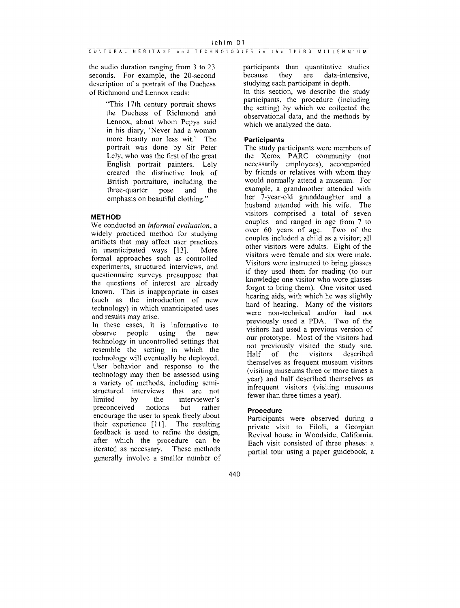### CULTURAL HERITAGE and TECHNOLOGIES in the THIRD~LLENNIUM

the audio duration ranging from 3 to 23 seconds. For example, the 20-second description of a portrait of the Duchess of Richmond and Lennox reads:

> "This 17th century portrait shows the Duchess of Richmond and Lennox, about whom Pepys said in his diary, 'Never had a woman more beauty nor less wit.' The portrait was done by Sir Peter Lely, who was the first of the great English portrait painters. Lely created the distinctive look of British portraiture, including the three-quarter pose and the emphasis on beautiful clothing."

### **METHOD**

We conducted an *informal evaluation,* a widely practiced method for studying artifacts that may affect user practices in unanticipated ways [13]. More formal approaches such as controlled experiments, structured interviews, and questionnaire surveys presuppose that the questions of interest are already known. This is inappropriate in cases (such as the introduction of new technology) in which unanticipated uses and results may arise.

In these cases, it is informative to<br>observe people using the new people using technology in uncontrolled settings that resemble the setting in which the technology will eventually be deployed. User behavior and response to the technology may then be assessed using a variety of methods, including semistructured interviews that are not limited by the interviewer's preconceived notions but rather encourage the user to speak freely about<br>their experience [11]. The resulting their experience  $[11]$ . feedback is used to refine the design, after which the procedure can be iterated as necessary. These methods generally involve a smaller number of participants than quantitative studies<br>because they are data-intensive. data-intensive. studying each participant in depth. In this section, we describe the study participants, the procedure (including the setting) by which we collected the observational data, and the methods by which we analyzed the data.

### **Participants**

The study participants were members of the Xerox PARC community (not necessarily employees), accompanied by friends or relatives with whom they would normally attend a museum. For example, a grandmother attended with her 7-year-old granddaughter and a husband attended with his wife. The visitors comprised a total of seven couples and ranged in age from 7 to over 60 years of age. Two of the couples included a child as a visitor; all other visitors were adults. Eight of the visitors were female and six were male. Visitors were instructed to bring glasses if they used them for reading (to our knowledge one visitor who wore glasses forgot to bring them). One visitor used hearing aids, with which he was slightly hard of hearing. Many of the visitors were non-technical and/or had not previously used a PDA. Two of the visitors had used a previous version of our prototype. Most of the visitors had not previously visited the study site.<br>Half of the visitors described described themselves as frequent museum visitors (visiting museums three or more times a year) and half described themselves as infrequent visitors (visiting museums fewer than three times a year).

### **Procedure**

Participants were observed during a private visit to Filoli, a Georgian Revival house in Woodside, California. Each visit consisted of three phases: a partial tour using a paper guidebook, a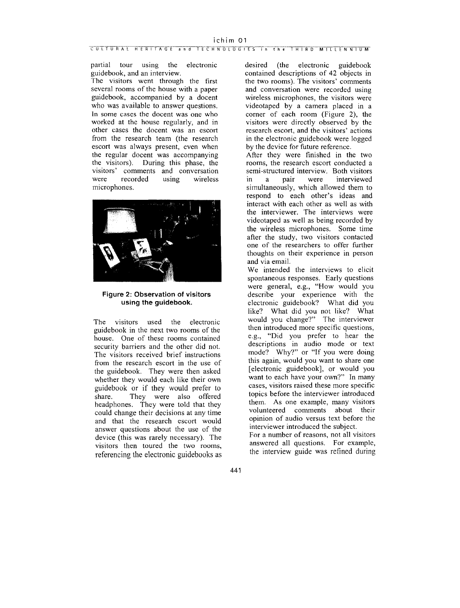partial tour using the electronic guidebook, and an interview.

The visitors went through the first several rooms of the house with a paper guidebook, accompanied by a docent who was available to answer questions. In some cases the docent was one who worked at the house regularly, and in other cases the docent was an escort from the research team (the research escort was always present, even when the regular docent was accompanying the visitors). During this phase, the visitors' comments and conversation were recorded using wireless microphones.



### **Figure 2: Observation of visitors using the guidebook.**

The visitors used the electronic guidebook in the next two rooms of the house. One of these rooms contained security barriers and the other did not. The visitors received brief instructions from the research escort in the use of the guidebook. They were then asked whether they would each like their own guidebook or if they would prefer to share. They were also offered headphones. They were told that they could change their decisions at any time and that the research escort would answer questions about the use of the device (this was rarely necessary). The visitors then toured the two rooms, referencing the electronic guidebooks as

desired (the electronic guidebook contained descriptions of 42 objects in the two rooms). The visitors' comments and conversation were recorded using wireless microphones, the visitors were videotaped by a camera placed in a corner of each room (Figure 2), the visitors were directly observed by the research escort, and the visitors' actions in the electronic guidebook were logged by the device for future reference.

After they were finished in the two rooms, the research escort conducted a semi-structured interview. Both visitors in a pair were interviewed simultaneously, which allowed them to respond to each other's ideas and interact with each other as well as with the interviewer. The interviews were videotaped as well as being recorded by the wireless microphones. Some time after the study, two visitors contacted one of the researchers to offer further thoughts on their experience in person and via email.

We intended the interviews to elicit spontaneous responses. Early questions were general, e.g., "How would you describe your experience with the electronic guidebook? What did you like? What did you not like? What would you change?" The interviewer then introduced more specific questions, e.g., "Did you prefer to hear the descriptions in audio mode or text mode? Why?" or "If you were doing this again, would you want to share one [electronic guidebook], or would you want to each have your own?" In many cases, visitors raised these more specific topics before the interviewer introduced them. As one example, many visitors volunteered comments about their opinion of audio versus text before the interviewer introduced the subject.

For a number of reasons, not all visitors answered all questions. For example, the interview guide was refined during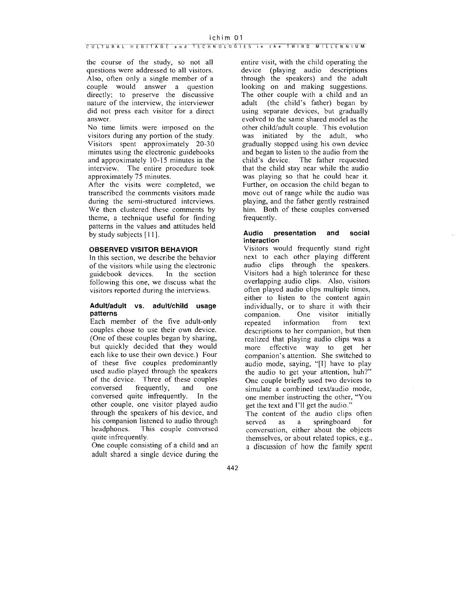## ichirn 01 . -- -. - pp-p-.-p-CULTURAL HERITAGE **and** TECHNOLOGIES **tn the** THIRD MILLENNIUM

the course of the study, so not all questions were addressed to all visitors. Also, often only a single member of a couple would answer a question directly; to preserve the discussive nature of the interview, the interviewer did not press each visitor for a direct answer.

No time limits were imposed on the visitors during any portion of the study. Visitors spent approximately 20-30 minutes using the electronic guidebooks and approximately 10- 15 minutes in the interview. The entire procedure took approximately 75 minutes.

After the visits were completed, we transcribed the comments visitors made during the semi-structured interviews. We then clustered these comments by theme, a technique useful for finding patterns in the values and attitudes held by study subjects  $[11]$ .

### **OBSERVED VISITOR BEHAVIOR**

In this section, we describe the behavior of the visitors while using the electronic guidebook devices. In the section following this one, we discuss what the visitors reported during the interviews.

### Adult/adult vs. adult/child usage **patterns**

Each member of the five adult-only couples chose to use their own device. (One of these couples began by sharing, but quickly decided that they would each like to use their own device.) Four of these five couples predominantly used audio played through the speakers of the device. Three of these couples conversed frequently, and one conversed quite infrequently. In the other couple, one visitor played audio through the speakers of his device, and his companion listened to audio through<br>headphones. This couple conversed This couple conversed quite infrequently.

One couple consisting of a child and an adult shared a single device during the entire visit, with the child operating the device (playing audio descriptions through the speakers) and the adult looking on and making suggestions. The other couple with a child and an adult (the child's father) began by using separate devices, but gradually evolved to the same shared model as the other child/adult couple. This evolution was initiated by the adult, who gradually stopped using his own device and began to listen to the audio from the child's device. The father requested that the child stay near while the audio was playing so that he could hear it. Further, on occasion the child began to move out of range while the audio was playing, and the father gently restrained him. Both of these couples conversed frequently.

### **Audio presentation and social interaction**

Visitors would frequently stand right next to each other playing different audio clips through the speakers. Visitors had a high tolerance for these overlapping audio clips. Also, visitors often played audio clips multiple times, either to listen to the content again individually, or to share it with their companion. One visitor initially repeated information from text descriptions to her companion, but then realized that playing audio clips was a more effective way to get her companion's attention. She switched to audio mode, saying, "[I] have to play the audio to get your attention, huh?" One couple briefly used two devices to simulate a combined text/audio mode, one member instructing the other, "You get the text and I'll get the audio."

The content of the audio clips often served as a springboard for conversation, either about the objects themselves, or about related topics, e.g., a discussion of how the family spent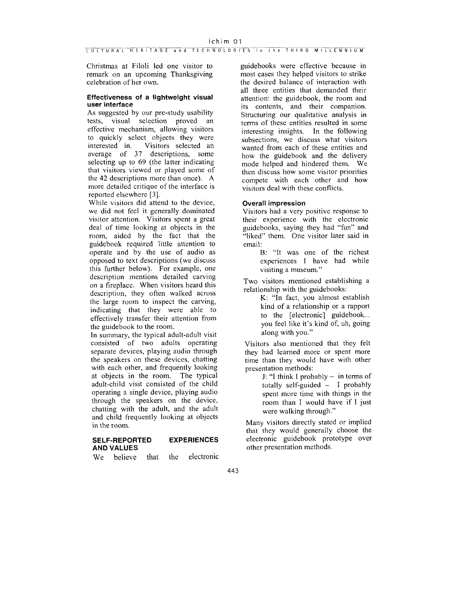Christmas at Filoli led one visitor to remark on an upcoming Thanksgiving celebration of her own.

### **Effectiveness of a lightweight visual user interface**

As suggested by our pre-study usability tests, visual selection proved an effective mechanism, allowing visitors to quickly select objects they were interested in. Visitors selected an average of 37 descriptions, some selecting up to 69 (the latter indicating that visitors viewed or played some of the 42 descriptions more than once). A more detailed critique of the interface is reported elsewhere [3].

While visitors did attend to the device, we did not feel it generally dominated visitor attention. Visitors spent a great deal of time looking at objects in the room, aided by the fact that the guidebook required little attention to operate and by the use of audio as opposed to text descriptions (we discuss this further below). For example, one description mentions detailed carving on a fireplace. When visitors heard this description, they often walked across the large room to inspect the carving, indicating that they were able to effectively transfer their attention from the guidebook to the room.

In summary, the typical adult-adult visit consisted of two adults operating separate devices, playing audio through the speakers on these devices, chatting with each other, and frequently looking at objects in the room. The typical adult-child visit consisted of the child operating a single device, playing audio through the speakers on the device, chatting with the adult, and the adult and child frequently looking at objects in the room.

### **SELF-REPORTED EXPERIENCES AND VALUES**

We believe that the electronic

guidebooks were effective because in most cases they helped visitors to strike the desired balance of interaction with all three entities that demanded their attention: the guidebook, the room and its contents, and their companion. Structuring our qualitative analysis in terms of these entities resulted in some interesting insights. In the following subsections, we discuss what visitors wanted from each of these entities and how the guidebook and the delivery mode helped and hindered them. We then discuss how some visitor priorities compete with each other and how visitors deal with these conflicts.

### **Overall impression**

Visitors had a very positive response to their experience with the electronic guidebooks, saying they had "fun" and "liked" them. One visitor later said in email:

> B: "It was one of the richest experiences I have had while visiting a museum."

Two visitors mentioned establishing a relationship with the guidebooks:

> K: "In fact, you almost establish kind of a relationship or a rapport to the [electronic] guidebook... you feel like it's kind of, uh, going along with you."

Visitors also mentioned that they felt they had learned more or spent more time than they would have with other presentation methods:

J: "I think I probably  $-$  in terms of totally self-guided - I probably spent more time with things in the room than I would have if I just were walking through."

Many visitors directly stated or implied that they would generally choose the electronic guidebook prototype over other presentation methods.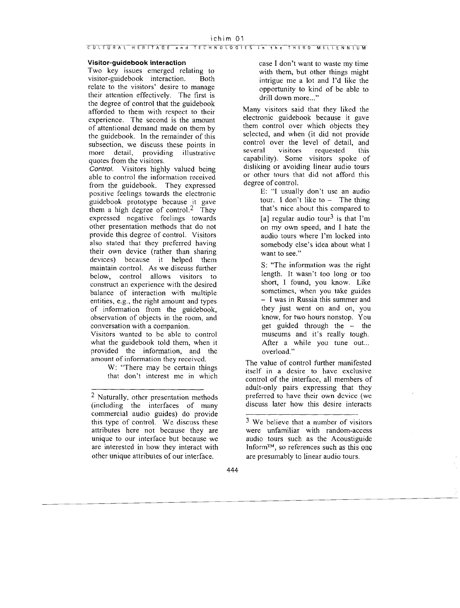### ~ ~ CULTURAL HERITAGE **and** TECHNOLOGIES **in thc** THIRD MILLENNIUM

### **Visitor-guidebook interaction**

Two key issues emerged relating to visitor-guidebook interaction. Both relate to the visitors' desire to manage their attention effectively. The first is the degree of control that the guidebook afforded to them with respect to their experience. The second is the amount of attentional demand made on them by the guidebook. In the remainder of this subsection, we discuss these points in more detail, providing illustrative quotes from the visitors.

Control. Visitors highly valued being able to control the information received fiom the guidebook. They expressed positive feelings towards the electronic guidebook prototype because it gave them a high degree of control.<sup>2</sup> They expressed ncgative feelings towards other presentation methods that do not provide this degree of control. Visitors also stated that they prcferred having their own device (rather than sharing devices) because it helped them maintain control. As we discuss further below, control allows visitors to construct an experience with the desired balance of interaction with multiple entities, e.g., the right amount and types of information from the guidebook, observation of objects in the room, and conversation with a companion.

Visitors wanted to be able to control what the guidebook told them, when it provided the information, and the amount of information they receivcd.

> W: "There may be certain things that don't interest me in which

case I don't want to waste my time with them, but other things might intrigue me a lot and I'd like the opportunity to kind of be able to drill down more..."

Many visitors said that they liked the electronic guidebook because it gave them control over which objects they selected, and when (it did not provide control over the level of detail, and<br>several visitors requested this requested this capability). Some visitors spoke of disliking or avoiding linear audio tours or other tours that did not afford this degree of control.

> E: "I usually don't use an audio tour. I don't like to  $-$  The thing that's nice about this compared to [a] regular audio tour<sup>3</sup> is that I'm on my own speed, and I hate the audio tours where I'm locked into somebody else's idea about what I want to see."

> S: "The information was the right length. It wasn't too long or too short, I found, you know. Like sometimes, when you take guides - I was in Russia this summer and they just went on and on, you know, for two hours nonstop. You get guided through the - the museums and it's really tough. After a while you tune out... overload."

The value of control further manifested itself in a desire to have exclusive control of the interface, all members of adult-only pairs expressing that they preferred to have their own dcvice (we discuss later how this desire interacts

<sup>&</sup>lt;sup>2</sup> Naturally, other presentation methods (including the interfaces of many commercial audio guides) do provide this type of control. We discuss these attributes here not because they are unique to our interface but because we are interested in how they interact with other unique attributes of our interface.

<sup>3</sup> We believe that a number of visitors were unfamiliar with random-access audio tours such as the Acoustiguide InformTM, so references such as this onc are presumably to linear audio tours.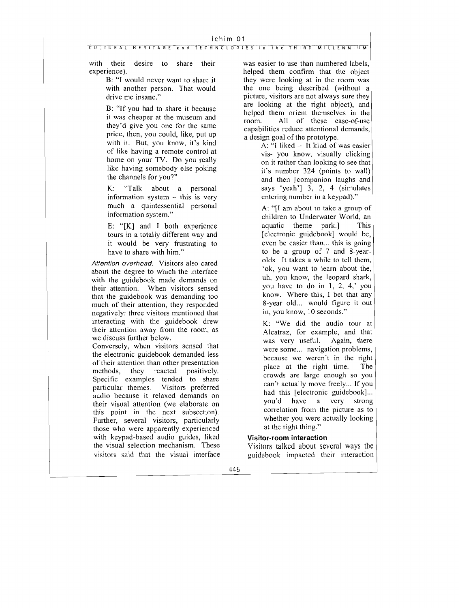with their desire to share their experience).

> B: "I would never want to share it with another person. That would drive me insane."

B: "If you had to share it because it was cheaper at the museum and they'd give you one for the same pricc, then, you could, like, put up with it. But, you know, it's kind of like having a remote control at home on your TV. Do you really like having somebody else poking the channels for you?"

K: "Talk about a personal information system  $-$  this is very much a quintessential personal information system."

E: "[K] and I both experience tours in a totally different way and it would be very frustrating to have to share with him."

Attention overhead. Visitors also cared about the degree to which the interface with the guidebook made demands on their attention. When visitors sensed that the guidcbook was demanding too much of their attention, they responded negatively: three visitors mentioned that interacting with the guidebook drew their attention away from the room, as we discuss further below.

Conversely, when visitors sensed that the electronic guidebook demanded less of their attention than other presentation methods, they reacted positively. Specific examples tended to share<br>particular themes. Visitors preferred particular themes. audio because it relaxed demands on their visual attention (we elaborate on this point in the next subsection). Further, several visitors, particularly those who were apparently experienced with keypad-based audio guides, liked the visual selection mechanism. These visitors said that the visual interface was easier to use than numbered labels, helped them confirm that the object they were looking at in the room was the one being described (without a picture, visitors are not always sure they are looking at the right object), and helped them orient themselves in the<br>room all of these ease-of-use All of these ease-of-use capabilities reduce attentional demands, a design goal of the prototype.

A: "I liked - It kind of was easier vis- you know, visually clicking on it rather than looking to see that it's number 324 (points to wall) and then [companion laughs and says 'yeah'] 3, 2, 4 (simulates entcring number in a keypad)."

A: "[I am about to take a group of children to Underwater World, an aquatic theme park.] This [electronic guidebook] would be, even be easier than... this is going to be a group of 7 and 8-yearolds. It takes a while to tell them. 'ok, you want to learn about the. uh, you know, the leopard shark. you have to do in 1, 2, 4,' you know. Where this, I bet that any 8-year old... would figure it out in, you know, 10 seconds."

K: "We did the audio tour a Alcatraz, for example, and that<br>was very useful. Again, there was very useful. were some... navigation problems, because we weren't in the right place at the right time. The crowds are largc enough so you can't actually move freely... If you had this [electronic guidebook]... you'd have a very strong correlation from the picture as to whether you were actually looking at the right thing."

### **Visitor-room interaction**

Visitors talked about several ways the guidebook impacted their interaction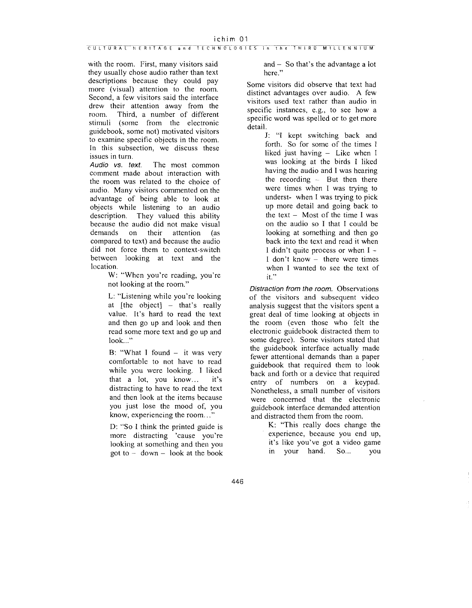# ichim 01<br>CULTURAL HERITAGE and TECHNOLOGIES in the THIRD MILLENNIUM **in thc** -

with the room. First, many visitors said they usually chose audio rather than text descriptions because they could pay more (visual) attention to the room. Second, a few visitors said the interface drew their attention away from the room. Third, a number of different Third, a number of different stimuli (some from the electronic guidebook, some not) motivated visitors to examine specific objects in the room. In this subsection, we discuss these issues in turn.<br>Audio vs. text

The most common comment made about interaction with the room was related to the choice of audio. Many visitors commented on the advantage of being able to look at objects while listening to an audio<br>description. They valued this ability They valued this ability because the audio did not make visual<br>demands on their attention (as on their attention (as compared to text) and because the audio did not force them to context-switch between looking at text and the location.

> W: "When you're reading, you're not looking at the room."

L: "Listening while you're looking at [the object]  $-$  that's really value. It's hard to read the text and then go up and look and then read some more text and go up and look..."

B: "What I found  $-$  it was very comfortable to not have to read while you were looking. I liked that a lot, you know... it's distracting to have to read the text and then look at the items because you just lose the mood of, you know, experiencing the room.. ."

D: "So 1 think the printed guide is more distracting 'cause you're looking at something and then you got to  $-$  down  $-$  look at the book

and - So that's the advantage a lot here."

Some visitors did observe that text had distinct advantages over audio. **A** few visitors used text rather than audio in specific instances, e.g., to see how a specific word was spelled or to get more detail.

> J: "I kept switching back and forth. So for some of the times I liked just having  $-$  Like when I was looking at the birds I liked having the audio and I was hearing the recording  $-$  But then there were times when I was trying to underst- when I was trying to pick up more detail and going back to the text  $-$  Most of the time I was on the audio so I that I could be looking at something and then go back into the text and read it when I didn't quite process or when  $I -$ I don't know - there were times when I wanted to see the text of it."

Distraction from the room. Observations of the visitors and subsequent video analysis suggest that the visitors spent a great deal of time looking at objects in the room (even those who felt the electronic guidebook distracted them to some degree). Some visitors stated that the guidebook interface actually made fewer attentional demands than a paper guidebook that required them to look back and forth or a device that required entry of numbers on a keypad. Nonetheless, a small number of visitors were concerned that the electronic guidebook interface demanded attention and distracted them fiom the room.

> K: "This really does change the experience, because you end up, it's like you've got a video game in your hand. So... you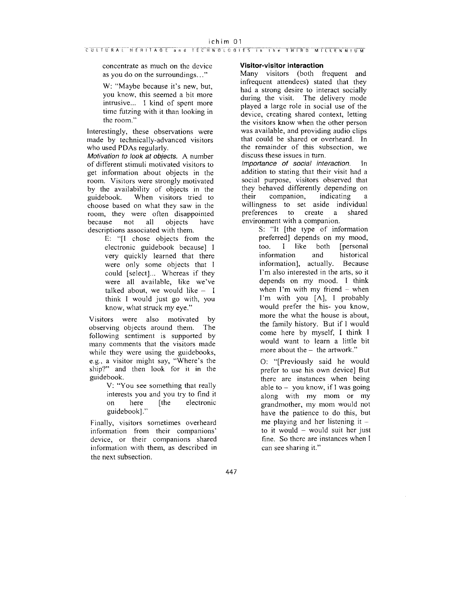concentrate as much on the device as you do on the surroundings.. ."

W: "Maybe because it's new, but, you know, this seemed a bit more intrusive... I kind of spent more time futzing with it than looking in the room."

Interestingly, these observations were made by technically-advanced visitors who used PDAs regularly.

Motivation to look at objects. A number of different stimuli motivated visitors to get information about objects in the room. Visitors were strongly motivated by the availability of objects in the<br>guidebook. When visitors tried to When visitors tried to choose based on what they saw in the room, they were often disappointed<br>because not all objects have because not descriptions associated with them.

E: "[I chose objects from the electronic guidebook because] I very quickly learned that there were only some objects that I could [select]... Whereas if they were all available, like we've talked about, we would like  $- I$ think I would just go with, you know, what struck my eye."

Visitors were also motivated by observing objects around them. The following sentiment is supported by many comments that the visitors made while they were using the guidebooks, e.g., a visitor might say, "Where's the ship?" and then look for it in the guidebook.

> V: "You see something that really interests you and you try to find it<br>on the electronic on here [the electronic guidebook] ."

Finally, visitors sometimes overheard information from their companions' device, or their companions shared information with them, as described in the next subsection.

### **Visitor-visitor interaction**

Many visitors (both frequent and infrequent attendees) stated that they had a strong desire to interact socially during the visit. The delivery mode played a large role in social use of the device, creating shared context, letting the visitors know when the other person was available, and providing audio clips that could be shared or overheard. In the remainder of this subsection, we discuss these issues in turn.

Importance of social interaction. In addition to stating that their visit had a social purpose, visitors observed that they behaved differently depending on<br>their companion, indicating a their companion, indicating a willingness to set aside individual preferences to create a shared environment with a companion.

S: "It [the type of information preferred] depends on my mood, too. I like both [personal information and historical information], actually. Because I'm also interested in the arts, so it depends on my mood. I think when I'm with my friend - when I'm with you [A], I probably would prefer the his- you know, more the what the house is about, the family history. But if I would come here by myself, I think I would want to learn a little bit more about the  $-$  the artwork."

0: "[Previously said he would prefer to use his own device] But there are instances when being able to  $-$  you know, if I was going along with my mom or my grandmother, my mom would not have the patience to do this, but me playing and her listening it  $$ to it would  $-$  would suit her just fine. So there are instances when I can see sharing it."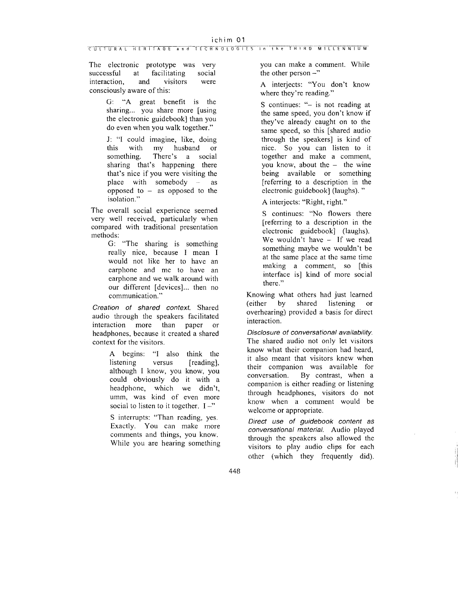## ichim 01<br>
CULTURAL HERITAGE and TECHNOLOGIES in the THIRD MILLENNIUM

The electronic prototype was very<br>successful at facilitating social facilitating<br>visitors interaction, and visitors were consciously aware of this:

> G: **"A** great benefit is the sharing... you share more [using the electronic guidebook] than you do even when you walk together."

J: "I could imagine, like, doing this with my husband or<br>something. There's a social There's a social sharing that's happening there that's nice if you were visiting the place with somebody  $-$  as opposed to  $-$  as opposed to the isolation."

The overall social experience seemed very well received, particularly when compared with traditional presentation methods:

G: "The sharing is something really nice, because I mean I would not like her to have an earphone and me to have an earphone and we walk around with our different [devices]... then no communication."

Creation of shared context. Shared audio through the speakers facilitated interaction more than paper or headphones, because it created a shared context for the visitors.

> **A** begins: "I also think the listening versus [reading], although I know, you know, you could obviously do it with a headphone, which we didn't, umm, was kind of even more social to listen to it together.  $I -$ "

S interrupts: "Than reading, yes. Exactly. You can make more comments and things, you know. While you are hearing something you can make a comment. While the other person  $-$ "

**A** interjects: "You don't know where they're reading."

S continues: "- is not reading at the same speed, you don't know if they've already caught on to the same speed, so this [shared audio through the speakers] is kind of nice. So you can listen to it together and make a comment, you know, about the  $-$  the wine being available or something [referring to a description in the electronic guidebook] (laughs). "

**A** interjects: "Right, right."

S continues: "No flowers there [referring to a description in the electronic guidebook] (laughs). We wouldn't have  $-$  If we read something maybe we wouldn't be at the same place at the same time making a comment, so [this interface is] kind of more social there."

Knowing what others had just learned (either by shared listening or overhearing) provided a basis for direct interaction.

Disclosure of conversational availability. The shared audio not only let visitors know what their companion had heard, it also meant that visitors knew when their companion was available for<br>conversation. By contrast, when a By contrast, when a companion is either reading or listening through headphones, visitors do not know when a comment would be weicome or appropriate.

Direct use of guidebook content as conversational material. Audio played through the speakers also allowed the visitors to play audio clips for each other (which they frequently did).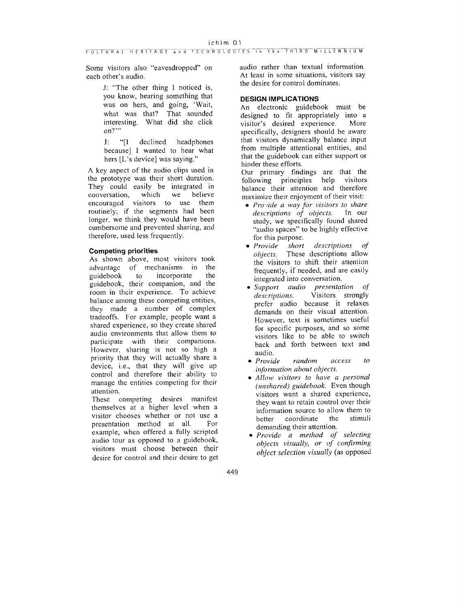Some visitors also "eavesdropped" on cach other's audio.

> J: "The other thing **1** noticed is, you know, hearing something that was on hers, and going, 'Wait, what was that? That sounded interesting. What did she click  $on?$ "

> J: "[I declined headphones because] I wanted to hear what hers [L's device] was saying."

A key aspect of the audio clips used in the prototype was their short duration. They could easily be integrated in<br>conversation, which we believe conversation, encouragcd visitors to use them routinely; if the segments had been longer, we think they would have been cumbersoine and prevented sharing, and therefore, used less frequently.

### **Competing priorities**

As shown above, most visitors took<br>advantage of mechanisms in the advantage of mechanisms in the<br>guidebook to incorporate the incorporate guidebook, their companion, and the room in their experience. To achieve balance among these competing entities, they made a number of complex tradeoffs. For example, people want a shared experience, so they create shared audio environments that allow them to participate with their companions. However, sharing is not so high a priority that they will actually share a device, i.e., that they will give up control and therefore their ability to manage the entities competing for their attention.

These competing desires manifest themselves at a higher level when a visitor chooses whether or not use a presentation method at all. For example, when offered a fully scripted audio tour as opposed to a guidebook, visitors must choose between their desire for control and their desire to get audio rather than textual information. At least in some situations, visitors say the desire for control dominates.

### DESIGN IMPLICATIONS

An electronic guidebook must be designed to fit appropriately into a<br>visitor's desired experience. More visitor's desired experience. specifically, designers should be aware that visitors dynamically balance input from multiple attentional entities, and that the guidebook can either support or hinder these efforts.

Our primary findings are that the following principles help visitors balance their attention and therefore maximize their enjoyment of their visit:

- **•** *Provide a way for visitors to share descriptions of objects*. In our *descriptions of objects.* study, we specifically found shared "audio spaces" to be highly effective for this purpose.<br>• *Provide* short
- **Provide** short descriptions of *objects*. These descriptions allow These descriptions allow the visitors to shift their attention frequently, if needed, and are easily integrated into conversation.
- **<sup>0</sup>***Support audio presentation* of' Visitors strongly pefer audio because it relaxes demands on their visual attention. However, text is sometimes useful for specific purposes, and so some visitors like to be able to switch back and forth between text and audio.
- *Provide random access to infbrmation about objects.*
- *Allow visitors to have a personal (unshared) guidebook.* Even though visitors want a shared experience, they want to retain control over their information source to allow them to<br>hetter coordinate the stimuli better coordinate demanding their attention.
- *Provide a method of selecting objects visually, or of confirming object selection visually* (as opposed
- 449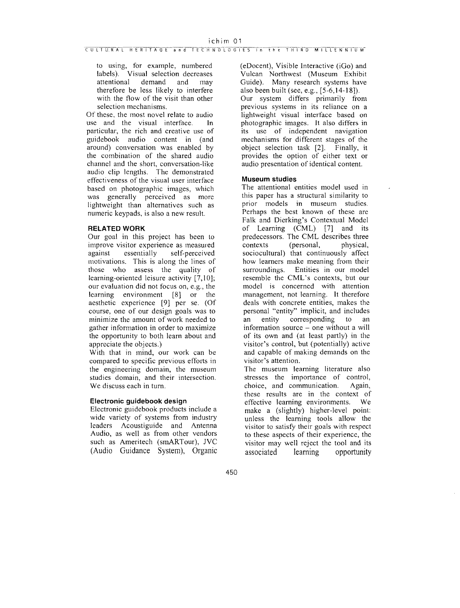to using, for example, numbered labels). Visual selection decreases<br>attentional demand and may attentional therefore be less likely to interfere with the flow of the visit than other selection mechanisms.

Of these, the most novel relate to audio<br>use and the visual interface In use and the visual interface. particular, the rich and creative use of guidebook audio content in (and around) conversation was enabled by the combination of the shared audio channel and the short, conversation-like audio clip lengths. The demonstrated effectiveness of the visual user interface based on photographic images, which was generally perceived as more lightweight than alternatives such as numeric keypads, is also a new result.

### **RELATED WORK**

Our goal in this project has been to improve visitor experience as measured against essentially self-perceived motivations. This is along the lines of those who assess the quality of learning-oriented leisure activity [7,10]; our evaluation did not focus on, e.g., the learning environment [8] or the aesthetic experience [9] per se. (Of course, one of our design goals was to minimize the amount of work needed to gather information in order to maximize the opportunity to both learn about and appreciate the objects.)

With that in mind, our work can be compared to specific previous efforts in the engineering domain, the museum studies domain, and their intersection. We discuss each in turn.

### **Electronic guidebook design**

Electronic guidebook products include a wide variety of systems from industry leaders Acoustiguide and Antenna Audio, as well as from other vendors such as Ameritech (smARTour), JVC (Audio Guidance System), Organic

(eDocent), Visible Interactive (iGo) and Vulcan Northwest (Museum Exhibit Guide). Many research systems have also been built (see, e.g., [5-6,14-181). Our system differs primarily from previous systems in its reliance on a lightweight visual interface based on photographic images. It also differs in its use of independent navigation mechanisms for different stages of the object selection task [2]. Finally, it provides the option of either text or audio presentation of identical content.

### **Museum studies**

The attentional entities model used in this paper has a structural similarity to prior models in museum studies. Perhaps the best known of these are Falk and Dierking's Contextual Model of Learning (CML) [7] and its predecessors. The CML describes three contexts (personal, physical, sociocultural) that continuously affect how learners make meaning from their surroundings. Entities in our model resemble the CML's contexts, but our model is concerned with attention management, not learning. It therefore deals with concrete entities, makes the personal "entity" implicit, and includes an entity corresponding to an information source - one without a will of its own and (at least partly) in the visitor's control, but (potentially) active and capable of making demands on the visitor's attention.

The museum learning literature also stresses the importance of control, choice, and communication. Again, these results are in the context of effective learning environments. We make a (slightly) higher-level point: unless the learning tools allow the visitor to satisfy their goals with respect to these aspects of their experience, the visitor may well reject the tool and its associated learning opportunity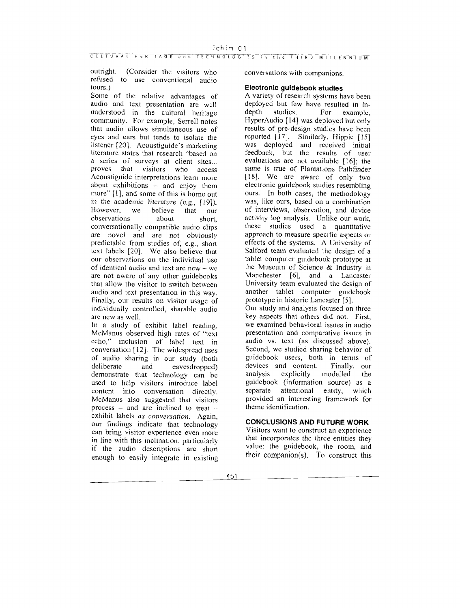outright. (Consider the visitors who refused to use conventional audio tours.)

Some of the relative advantages of audio and text presentation are well understood in the cultural heritage community. For example, Serrell notes that audio allows simultaneous use of eyes and ears but tends to isolate the listener [20]. Acoustiguide's marketing literature states that research "based on a series of surveys at client sites... proves that visitors who access Acoustiguide interpretations learn more about exhibitions  $-$  and enjoy them more" [I], and some of this is borne out in the academic literature (e.g., [19]). Ilowever, we believe that our observations about short, conversationally compatible audio clips are novcl and are not obviously predictable from studies of, e.g., short tcxt labels [20]. We also believe that our obscrvations on the individual use of identical audio and text are new - we arc not aware of any other guidebooks that allow the visitor to switch between audio and text presentation in this way. Finally, our results on visitor usage of individually controlled, sharable audio are new as well.

In a study of exhibit label reading, McManus observed high rates of "text echo," inclusion of label text in conversation [12]. The widespread uses of audio sharing in our study (both<br>deliberate and eavesdronped) eavesdropped) demonstrate that technology can be used to help visitors introduce label content into conversation directly. McManus also suggestcd that visitors process  $-$  and are inclined to treat  $$ exhibit labels *as conversation.* Again, our findings indicate that technology can bring visitor experience even more in line with this inclination, particularly if the audio descriptions are short enough to easily integrate in existing

conversations with companions.

### **Electronic guidebook studies**

**A** variety of research systems have been deployed but few have resulted in indepth studies. For example, HyperAudio [14] was deployed but only results of pre-design studies have been reported  $[17]$ . Similarly, Hippie  $[15]$ was deployed and received initial feedback, but the results of user evaluations are not available [16]; the same is true of Plantations Pathfinder [18]. We are aware of only two electronic guidcbook studies resembling ours. In both cases, the methodology was, like ours, based on a combination of interviews, observation, and device activity log analysis. Unlike our work, thesc studies used a quantitative approach to measure specific aspects or effects of the systems. A University of Salford team evaluated the design of a tablet computer guidebook prototype at the Museum of Science & lndustry in Manchester [6], and a Lancaster University team evaluated the design of another tablet computer guidebook prototype in historic Lancaster [5]. Our study and analysis focused on three

key aspects that others did not. First, we examined behavioral issues in audio presentation and comparative issues in audio vs. text (as discussed above). Second, we studied sharing behavior of guidcbook users, both in terms of<br>devices and content. Finally, our devices and content. Finally<br>analysis explicitly modelled explicitly modelled the guidebook (information source) as a separate attentional entity, which provided an interesting framework for theme identification.

### **CONCLUSIONS AND FUTURE WORK**

Visitors want to construct an experience that incorporates the three entities they value: the guidebook, the room, and their companion(s). To construct this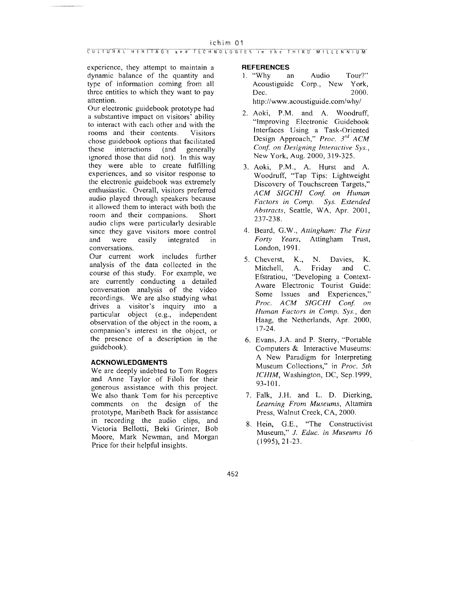### CULTURAL HERITAGE and TECHNOLOGIES in the THIRD MILLENNIUM

experience, they attempt to maintain a dynamic balance of the quantity and type of information coming from all three entities to which they want to pay attention.

Our electronic guidebook prototype had a substantive impact on visitors' ability to interact with each other and with the rooms and their contents. Visitors chose guidebook options that facilitated<br>these interactions (and generally interactions (and generally ignored those that did not). In this way they were able to create fulfilling experiences, and so visitor response to the electronic guidebook was extremely enthusiastic. Overall, visitors preferred audio played through speakers because it allowed them to interact with both the room and their companions. Short audio clips were particularly desirable since they gave visitors more control and were easily integrated in conversations.

Our current work includes further analvsis of the data collected in the course of this study. For example, we are currently conducting a detailed conversation analysis of the video recordings. We are also studying what drives a visitor's inquiry into a particular object (e.g., independent observation of the object in the room, a companion's interest in the object, or the presence of a description in the guidebook).

### **ACKNOWLEDGMENTS**

We are deeply indebted to Tom Rogers and Anne Taylor of Filoli for their generous assistance with this project. We also thank Tom for his perceptive comments on the design of the prototype, Maribeth Back for assistance in recording the audio clips, and Victoria Rellotti, Beki Grinter, Bob Moore, Mark Newman, and Morgan Price for their helpful insights.

### **REFERENCES**

- I. "Why an Audio Tour?" Acoustiguide Corp., New York, Dec. 2000. http://www.acoustiguide.com/why/
- 2. Aoki, P.M. and A. Woodruff, "Improving Electronic Guidebook Interfaces Using a Task-Oriented Design Approach," *Proc.* 3"" *ACM Con\$ on Designing Interactive Sys.,*  New York, Aug. 2000, 3 19-325.
- 3. Aoki, P.M., A. Hurst and A. Woodruff, "Tap Tips: Lightweight Discovery of Touchscreen Targets," *ACM SIGCHI Conj on Human*   $Factors$  in Comp. Sys. Extended *Abstracts,* Seattle, WA, Apr. 2001, 237-238.
- 4. Beard, G.W., *Attingham: The First Forty Years,* Attingham Trust, London, 1991.
- 5. Cheverst, K., N. Davies, K. Mitchell, A. Friday and C. Efstratiou, "Developing a Context-Aware Electronic Tourist Guide: Some Issues and Experiences," Proc. ACM SIGCHI Conf. on *Human Factors in Comp. Sys.,* den Haag, the Netherlands, Apr. 2000, 17-24.
- 6. Evans, J.A. and P. Sterry, "Portable Computers & lnteractive Museums: A New Paradigm for Interpreting Museum Collections," in *Proc. 5th ICHIM,* Washington, DC, Sep. 1999, 93-101.
- 7. Falk, J.H. and L. D. Dierking, *Learning From Museums,* Altamira Press, Walnut Creek, CA, 2000.
- 8. Hein, G.E., "The Constructivist Museum," J. *Educ. in Museums 16*  (1995), 21-23.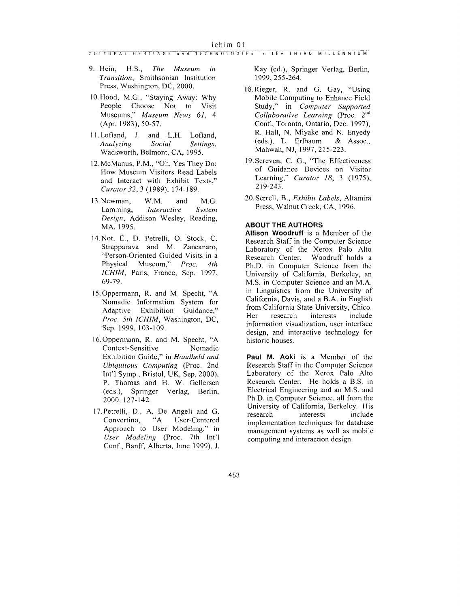- 9. Hein, H.S., *The Museum in Transition,* Smithsonian Institution Press, Washington, DC, 2000.
- 10. Hood, M.G., "Staying Away: Why People Choose Not to Visit Museums." *Museum News* 61, *4*  (Apr. 1983). 50-57.
- 1 l.Lofland, J. and L.H. Lofland, *Analyzing Social Settings,*  Wadsworth, Belmont, CA, 1995.
- 12.McManus, P.M., "Oh, Yes They Do: How Museum Visitors Read Labels and Interact with Exhibit Texts," *Curator* 32, 3 (1989), 174-189.
- 13. Newman, W.M. and M.G.<br>Lamming, *Interactive* System *Interactive Design,* Addison Wesley, Reading, MA, 1995.
- 14.Not, E., D. Petrelli, 0. Stock, C. Strapparava and M. Zancanaro, "Person-Oriented Guided Visits in a Physical Museum," *Proc. 4th ICHIM,* Paris, France, Sep. 1997, 69-79.
- 15.0pperniann, R. and M. Specht, "A Nomadic Information System for Adaptive Exhibition Guidance," *Proc. 5th ICHIM,* Washington, DC, Sep. 1999, 103-109.
- 16.0ppermann, R. and M. Specht, "A Context-Sensitive Nomadic Exhibition Guide," in *Handheld and Ubiquitous Computing (Proc. 2nd* Int'l Symp., Bristol, UK, Sep. 2000), P. Thomas and H. W. Gellersen (eds.), Springer Verlag, Berlin, 2000, 127- 142.
- 17.Petrelli, D., A. De Angeli and G. Convertino, "A User-Centered Approach to User Modeling." in *User Modeling* (Proc. 7th Int'l Conf., Banff, Alberta, June 1999), J.

Kay (ed.), Springer Verlag, Berlin, 1999,255-264.

- 18.Rieger, R. and G. Gay, "Using Mobile Computing to Enhance Field Study," in *Computer Supported Colluborative Learning* (Proc. 2"d Conf., Toronto, Ontario, Dec. 1997), R. Hall, N. Miyake and N. Enyedy (eds.), L. Erlbaum & Assoc., Mahwah, NJ, 1997, 215-223.
- 19.Screven, C. G., "The Effectiveness of Guidance Devices on Visitor Learning," *Curator* 18, 3 (1975), 2 19-243.
- 20. Serrell, B., *Exhibit Labels,* Altamira Press, Walnut Creek, CA, 1996.

### **ABOUT THE AUTHORS**

**Allison Woodruff** is **a** Member of the Research Staff in the Computer Science Laboratory of the Xerox Palo Alto Research Center. Woodruff holds a Ph.D. in Computer Science from the University of California, Berkeley, an M.S. in Computer Science and an M.A. in Linguistics from the University of California, Davis, and a B.A. in English from California State University, Chico. Her research interests include information visualization, user interface design, and interactive technology for historic houses.

**Paul M. Aoki** is a Member of the Research Staff in the Computer Science Laboratory of the Xerox Palo Alto Research Center. He holds a B.S. in Electrical Engineering and an M.S. and Ph.D. in Computer Science, all from the University of California, Berkeley. His research interests include implementation techniques for database management systems as well as mobile computing and interaction design.